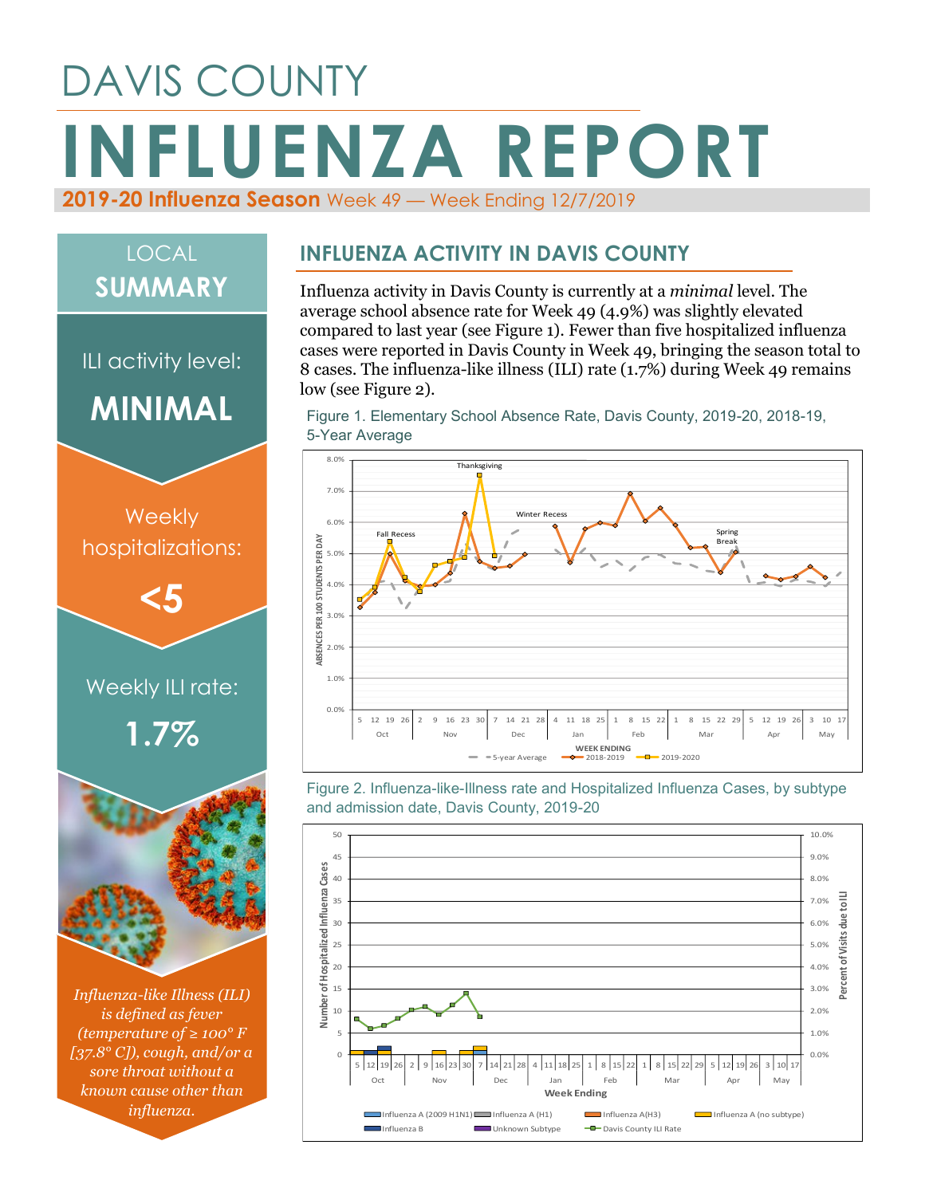# DAVIS COUNTY **INFLUENZA REPORT 2019-20 Influenza Season** Week 49 — Week Ending 12/7/2019

## LOCAL **SUMMARY**

ILI activity level: **MINIMAL**



*Influenza-like Illness (ILI) is defined as fever (temperature of ≥ 100° F [37.8° C]), cough, and/or a sore throat without a known cause other than influenza.*

#### **INFLUENZA ACTIVITY IN DAVIS COUNTY**

Influenza activity in Davis County is currently at a *minimal* level. The average school absence rate for Week 49 (4.9%) was slightly elevated compared to last year (see Figure 1). Fewer than five hospitalized influenza cases were reported in Davis County in Week 49, bringing the season total to 8 cases. The influenza-like illness (ILI) rate (1.7%) during Week 49 remains low (see Figure 2).

Figure 1. Elementary School Absence Rate, Davis County, 2019-20, 2018-19, 5-Year Average



Figure 2. Influenza-like-Illness rate and Hospitalized Influenza Cases, by subtype and admission date, Davis County, 2019-20